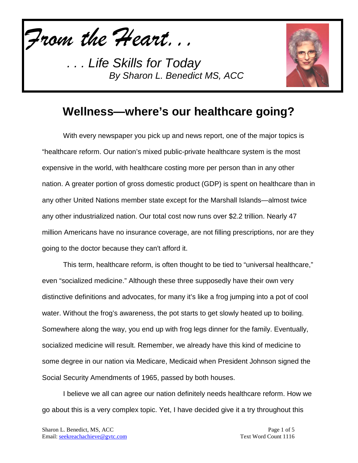*From the Heart...*

*. . . Life Skills for Today By Sharon L. Benedict MS, ACC*



#### **Wellness—where's our healthcare going?**

With every newspaper you pick up and news report, one of the major topics is "healthcare reform. Our nation's mixed public-private healthcare system is the most expensive in the world, with healthcare costing more per person than in any other nation. A greater portion of gross domestic product (GDP) is spent on healthcare than in any other United Nations member state except for the Marshall Islands—almost twice any other industrialized nation. Our total cost now runs over \$2.2 trillion. Nearly 47 million Americans have no insurance coverage, are not filling prescriptions, nor are they going to the doctor because they can't afford it.

This term, healthcare reform, is often thought to be tied to "universal healthcare," even "socialized medicine." Although these three supposedly have their own very distinctive definitions and advocates, for many it's like a frog jumping into a pot of cool water. Without the frog's awareness, the pot starts to get slowly heated up to boiling. Somewhere along the way, you end up with frog legs dinner for the family. Eventually, socialized medicine will result. Remember, we already have this kind of medicine to some degree in our nation via Medicare, Medicaid when President Johnson signed the Social Security Amendments of 1965, passed by both houses.

I believe we all can agree our nation definitely needs healthcare reform. How we go about this is a very complex topic. Yet, I have decided give it a try throughout this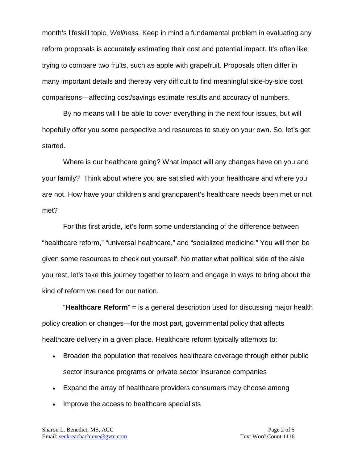month's lifeskill topic, *Wellness.* Keep in mind a fundamental problem in evaluating any reform proposals is accurately estimating their cost and potential impact. It's often like trying to compare two fruits, such as apple with grapefruit. Proposals often differ in many important details and thereby very difficult to find meaningful side-by-side cost comparisons—affecting cost/savings estimate results and accuracy of numbers.

By no means will I be able to cover everything in the next four issues, but will hopefully offer you some perspective and resources to study on your own. So, let's get started.

Where is our healthcare going? What impact will any changes have on you and your family? Think about where you are satisfied with your healthcare and where you are not. How have your children's and grandparent's healthcare needs been met or not met?

For this first article, let's form some understanding of the difference between "healthcare reform," "universal healthcare," and "socialized medicine." You will then be given some resources to check out yourself. No matter what political side of the aisle you rest, let's take this journey together to learn and engage in ways to bring about the kind of reform we need for our nation.

"**Healthcare Reform**" = is a general description used for discussing major health policy creation or changes—for the most part, governmental policy that affects healthcare delivery in a given place. Healthcare reform typically attempts to:

- Broaden the population that receives healthcare coverage through either public sector insurance programs or private sector insurance companies
- Expand the array of healthcare providers consumers may choose among
- Improve the access to healthcare specialists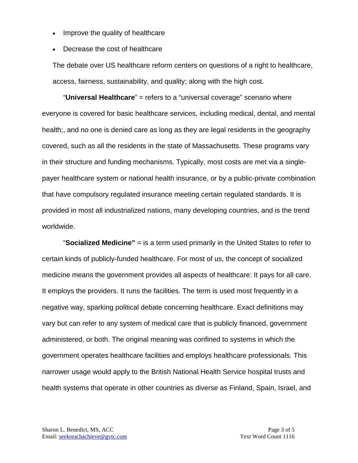- Improve the quality of healthcare
- Decrease the cost of healthcare

The debate over US healthcare reform centers on questions of a right to healthcare, access, fairness, sustainability, and quality; along with the high cost.

"**Universal Healthcare**" = refers to a "universal coverage" scenario where everyone is covered for basic healthcare services, including medical, dental, and mental health;, and no one is denied care as long as they are legal residents in the geography covered, such as all the residents in the state of Massachusetts. These programs vary in their structure and funding mechanisms. Typically, most costs are met via a singlepayer healthcare system or national health insurance, or by a public-private combination that have compulsory regulated insurance meeting certain regulated standards. It is provided in most all industrialized nations, many developing countries, and is the trend worldwide.

"**Socialized Medicine"** = is a term used primarily in the United States to refer to certain kinds of publicly-funded healthcare. For most of us, the concept of socialized medicine means the government provides all aspects of healthcare: It pays for all care. It employs the providers. It runs the facilities. The term is used most frequently in a negative way, sparking political debate concerning healthcare. Exact definitions may vary but can refer to any system of medical care that is publicly financed, government administered, or both. The original meaning was confined to systems in which the government operates healthcare facilities and employs healthcare professionals. This narrower usage would apply to the British National Health Service hospital trusts and health systems that operate in other countries as diverse as Finland, Spain, Israel, and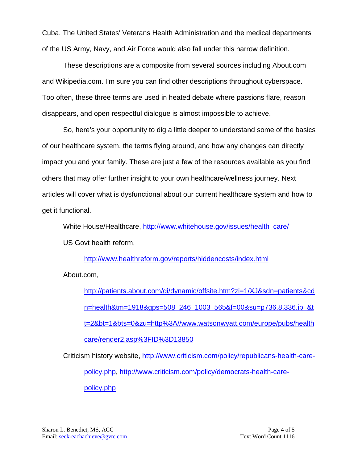Cuba. The United States' Veterans Health Administration and the medical departments of the US Army, Navy, and Air Force would also fall under this narrow definition.

These descriptions are a composite from several sources including About.com and Wikipedia.com. I'm sure you can find other descriptions throughout cyberspace. Too often, these three terms are used in heated debate where passions flare, reason disappears, and open respectful dialogue is almost impossible to achieve.

So, here's your opportunity to dig a little deeper to understand some of the basics of our healthcare system, the terms flying around, and how any changes can directly impact you and your family. These are just a few of the resources available as you find others that may offer further insight to your own healthcare/wellness journey. Next articles will cover what is dysfunctional about our current healthcare system and how to get it functional.

White House/Healthcare, [http://www.whitehouse.gov/issues/health\\_care/](http://www.whitehouse.gov/issues/health_care/) US Govt health reform,

<http://www.healthreform.gov/reports/hiddencosts/index.html>

About.com,

[http://patients.about.com/gi/dynamic/offsite.htm?zi=1/XJ&sdn=patients&cd](http://patients.about.com/gi/dynamic/offsite.htm?zi=1/XJ&sdn=patients&cdn=health&tm=1918&gps=508_246_1003_565&f=00&su=p736.8.336.ip_&tt=2&bt=1&bts=0&zu=http%3A//www.watsonwyatt.com/europe/pubs/healthcare/render2.asp%3FID%3D13850) [n=health&tm=1918&gps=508\\_246\\_1003\\_565&f=00&su=p736.8.336.ip\\_&t](http://patients.about.com/gi/dynamic/offsite.htm?zi=1/XJ&sdn=patients&cdn=health&tm=1918&gps=508_246_1003_565&f=00&su=p736.8.336.ip_&tt=2&bt=1&bts=0&zu=http%3A//www.watsonwyatt.com/europe/pubs/healthcare/render2.asp%3FID%3D13850) [t=2&bt=1&bts=0&zu=http%3A//www.watsonwyatt.com/europe/pubs/health](http://patients.about.com/gi/dynamic/offsite.htm?zi=1/XJ&sdn=patients&cdn=health&tm=1918&gps=508_246_1003_565&f=00&su=p736.8.336.ip_&tt=2&bt=1&bts=0&zu=http%3A//www.watsonwyatt.com/europe/pubs/healthcare/render2.asp%3FID%3D13850) [care/render2.asp%3FID%3D13850](http://patients.about.com/gi/dynamic/offsite.htm?zi=1/XJ&sdn=patients&cdn=health&tm=1918&gps=508_246_1003_565&f=00&su=p736.8.336.ip_&tt=2&bt=1&bts=0&zu=http%3A//www.watsonwyatt.com/europe/pubs/healthcare/render2.asp%3FID%3D13850)

Criticism history website, [http://www.criticism.com/policy/republicans-health-care](http://www.criticism.com/policy/republicans-health-care-policy.php)[policy.php,](http://www.criticism.com/policy/republicans-health-care-policy.php) [http://www.criticism.com/policy/democrats-health-care](http://www.criticism.com/policy/democrats-health-care-policy.php)[policy.php](http://www.criticism.com/policy/democrats-health-care-policy.php)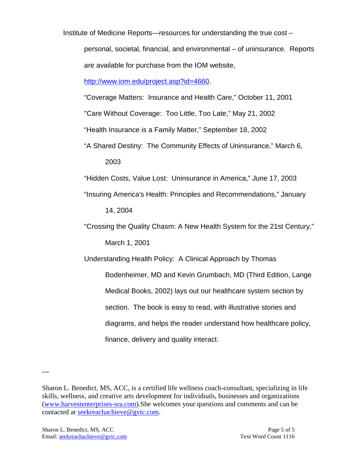Institute of Medicine Reports—resources for understanding the true cost –

personal, societal, financial, and environmental – of uninsurance. Reports are available for purchase from the IOM website,

[http://www.iom.edu/project.asp?id=4660.](http://www.iom.edu/project.asp?id=4660)

"Coverage Matters: Insurance and Health Care," October 11, 2001

"Care Without Coverage: Too Little, Too Late," May 21, 2002

"Health Insurance is a Family Matter," September 18, 2002

"A Shared Destiny: The Community Effects of Uninsurance," March 6, 2003

"Hidden Costs, Value Lost: Uninsurance in America," June 17, 2003

"Insuring America's Health: Principles and Recommendations," January

14, 2004

"Crossing the Quality Chasm: A New Health System for the 21st Century," March 1, 2001

Understanding Health Policy: A Clinical Approach by Thomas Bodenheimer, MD and Kevin Grumbach, MD (Third Edition, Lange Medical Books, 2002) lays out our healthcare system section by section. The book is easy to read, with illustrative stories and diagrams, and helps the reader understand how healthcare policy, finance, delivery and quality interact.

---

Sharon L. Benedict, MS, ACC, is a certified life wellness coach-consultant, specializing in life skills, wellness, and creative arts development for individuals, businesses and organizations [\(www.harvestenterprises-sra.com\)](http://www.harvestenterprises-sra.com/).She welcomes your questions and comments and can be contacted at [seekreachachieve@gvtc.com.](mailto:seekreachachieve@gvtc.com)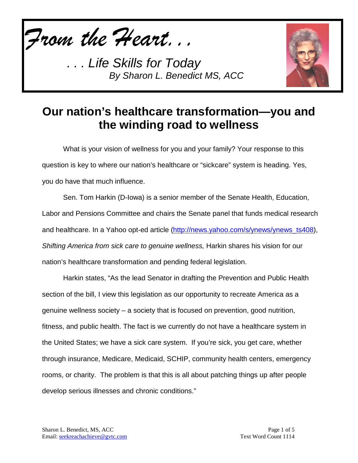*From the Heart...*

*. . . Life Skills for Today By Sharon L. Benedict MS, ACC*



## **Our nation's healthcare transformation—you and the winding road to wellness**

What is your vision of wellness for you and your family? Your response to this question is key to where our nation's healthcare or "sickcare" system is heading. Yes, you do have that much influence.

Sen. Tom Harkin (D-Iowa) is a senior member of the Senate Health, Education, Labor and Pensions Committee and chairs the Senate panel that funds medical research and healthcare. In a Yahoo opt-ed article [\(http://news.yahoo.com/s/ynews/ynews\\_ts408\)](http://news.yahoo.com/s/ynews/ynews_ts408), *Shifting America from sick care to genuine wellness,* Harkin shares his vision for our nation's healthcare transformation and pending federal legislation.

Harkin states, "As the lead Senator in drafting the Prevention and Public Health section of the bill, I view this legislation as our opportunity to recreate America as a genuine wellness society – a society that is focused on prevention, good nutrition, fitness, and public health. The fact is we currently do not have a healthcare system in the United States; we have a sick care system. If you're sick, you get care, whether through insurance, Medicare, Medicaid, SCHIP, community health centers, emergency rooms, or charity. The problem is that this is all about patching things up after people develop serious illnesses and chronic conditions."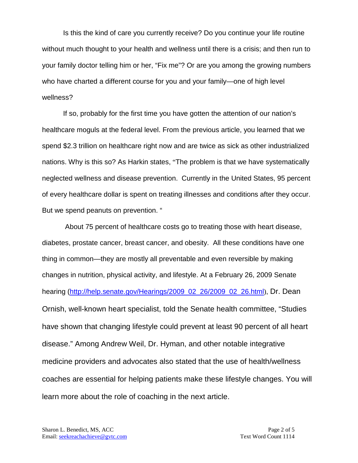Is this the kind of care you currently receive? Do you continue your life routine without much thought to your health and wellness until there is a crisis; and then run to your family doctor telling him or her, "Fix me"? Or are you among the growing numbers who have charted a different course for you and your family—one of high level wellness?

If so, probably for the first time you have gotten the attention of our nation's healthcare moguls at the federal level. From the previous article, you learned that we spend \$2.3 trillion on healthcare right now and are twice as sick as other industrialized nations. Why is this so? As Harkin states, "The problem is that we have systematically neglected wellness and disease prevention. Currently in the United States, 95 percent of every healthcare dollar is spent on treating illnesses and conditions after they occur. But we spend peanuts on prevention. "

About 75 percent of healthcare costs go to treating those with heart disease, diabetes, prostate cancer, breast cancer, and obesity. All these conditions have one thing in common—they are mostly all preventable and even reversible by making changes in nutrition, physical activity, and lifestyle. At a February 26, 2009 Senate hearing [\(http://help.senate.gov/Hearings/2009\\_02\\_26/2009\\_02\\_26.html](http://help.senate.gov/Hearings/2009_02_26/2009_02_26.html)), Dr. Dean Ornish, well-known heart specialist, told the Senate health committee, "Studies have shown that changing lifestyle could prevent at least 90 percent of all heart disease." Among Andrew Weil, Dr. Hyman, and other notable integrative medicine providers and advocates also stated that the use of health/wellness coaches are essential for helping patients make these lifestyle changes. You will learn more about the role of coaching in the next article.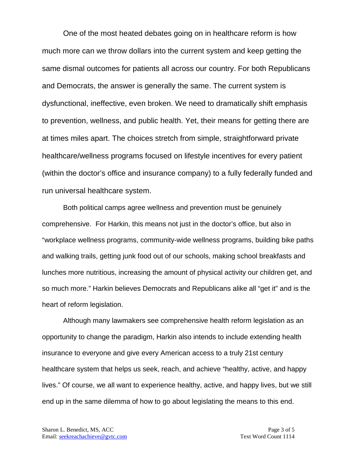One of the most heated debates going on in healthcare reform is how much more can we throw dollars into the current system and keep getting the same dismal outcomes for patients all across our country. For both Republicans and Democrats, the answer is generally the same. The current system is dysfunctional, ineffective, even broken. We need to dramatically shift emphasis to prevention, wellness, and public health. Yet, their means for getting there are at times miles apart. The choices stretch from simple, straightforward private healthcare/wellness programs focused on lifestyle incentives for every patient (within the doctor's office and insurance company) to a fully federally funded and run universal healthcare system.

Both political camps agree wellness and prevention must be genuinely comprehensive. For Harkin, this means not just in the doctor's office, but also in "workplace wellness programs, community-wide wellness programs, building bike paths and walking trails, getting junk food out of our schools, making school breakfasts and lunches more nutritious, increasing the amount of physical activity our children get, and so much more." Harkin believes Democrats and Republicans alike all "get it" and is the heart of reform legislation.

Although many lawmakers see comprehensive health reform legislation as an opportunity to change the paradigm, Harkin also intends to include extending health insurance to everyone and give every American access to a truly 21st century healthcare system that helps us seek, reach, and achieve "healthy, active, and happy lives." Of course, we all want to experience healthy, active, and happy lives, but we still end up in the same dilemma of how to go about legislating the means to this end.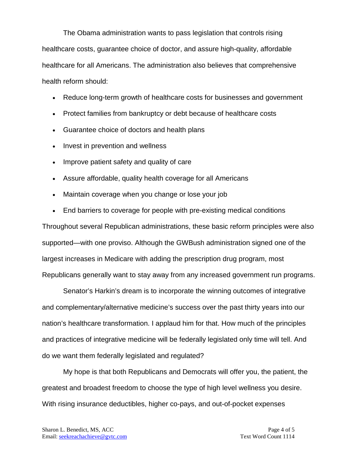The Obama administration wants to pass legislation that controls rising healthcare costs, guarantee choice of doctor, and assure high-quality, affordable healthcare for all Americans. The administration also believes that comprehensive health reform should:

- Reduce long-term growth of healthcare costs for businesses and government
- Protect families from bankruptcy or debt because of healthcare costs
- Guarantee choice of doctors and health plans
- Invest in prevention and wellness
- Improve patient safety and quality of care
- Assure affordable, quality health coverage for all Americans
- Maintain coverage when you change or lose your job
- End barriers to coverage for people with pre-existing medical conditions

Throughout several Republican administrations, these basic reform principles were also supported—with one proviso. Although the GWBush administration signed one of the largest increases in Medicare with adding the prescription drug program, most Republicans generally want to stay away from any increased government run programs.

Senator's Harkin's dream is to incorporate the winning outcomes of integrative and complementary/alternative medicine's success over the past thirty years into our nation's healthcare transformation. I applaud him for that. How much of the principles and practices of integrative medicine will be federally legislated only time will tell. And do we want them federally legislated and regulated?

My hope is that both Republicans and Democrats will offer you, the patient, the greatest and broadest freedom to choose the type of high level wellness you desire. With rising insurance deductibles, higher co-pays, and out-of-pocket expenses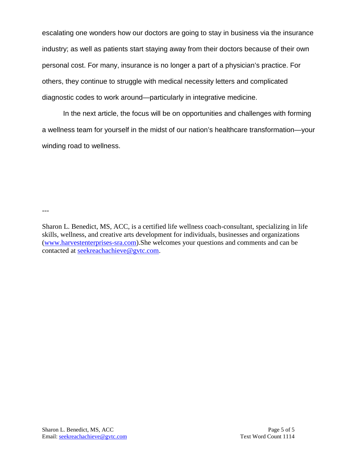escalating one wonders how our doctors are going to stay in business via the insurance industry; as well as patients start staying away from their doctors because of their own personal cost. For many, insurance is no longer a part of a physician's practice. For others, they continue to struggle with medical necessity letters and complicated diagnostic codes to work around—particularly in integrative medicine.

In the next article, the focus will be on opportunities and challenges with forming a wellness team for yourself in the midst of our nation's healthcare transformation—your winding road to wellness.

---

Sharon L. Benedict, MS, ACC, is a certified life wellness coach-consultant, specializing in life skills, wellness, and creative arts development for individuals, businesses and organizations [\(www.harvestenterprises-sra.com\)](http://www.harvestenterprises-sra.com/).She welcomes your questions and comments and can be contacted at [seekreachachieve@gvtc.com.](mailto:seekreachachieve@gvtc.com)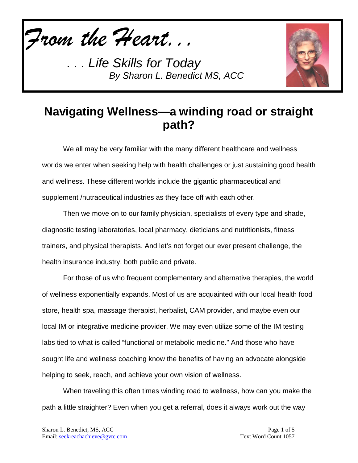*From the Heart...*

*. . . Life Skills for Today By Sharon L. Benedict MS, ACC*



## **Navigating Wellness—a winding road or straight path?**

We all may be very familiar with the many different healthcare and wellness worlds we enter when seeking help with health challenges or just sustaining good health and wellness. These different worlds include the gigantic pharmaceutical and supplement /nutraceutical industries as they face off with each other.

Then we move on to our family physician, specialists of every type and shade, diagnostic testing laboratories, local pharmacy, dieticians and nutritionists, fitness trainers, and physical therapists. And let's not forget our ever present challenge, the health insurance industry, both public and private.

For those of us who frequent complementary and alternative therapies, the world of wellness exponentially expands. Most of us are acquainted with our local health food store, health spa, massage therapist, herbalist, CAM provider, and maybe even our local IM or integrative medicine provider. We may even utilize some of the IM testing labs tied to what is called "functional or metabolic medicine." And those who have sought life and wellness coaching know the benefits of having an advocate alongside helping to seek, reach, and achieve your own vision of wellness.

When traveling this often times winding road to wellness, how can you make the path a little straighter? Even when you get a referral, does it always work out the way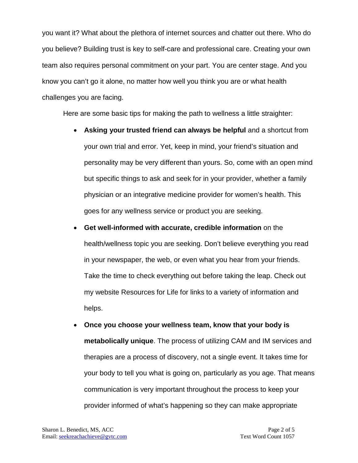you want it? What about the plethora of internet sources and chatter out there. Who do you believe? Building trust is key to self-care and professional care. Creating your own team also requires personal commitment on your part. You are center stage. And you know you can't go it alone, no matter how well you think you are or what health challenges you are facing.

Here are some basic tips for making the path to wellness a little straighter:

- **Asking your trusted friend can always be helpful** and a shortcut from your own trial and error. Yet, keep in mind, your friend's situation and personality may be very different than yours. So, come with an open mind but specific things to ask and seek for in your provider, whether a family physician or an integrative medicine provider for women's health. This goes for any wellness service or product you are seeking.
- **Get well-informed with accurate, credible information** on the health/wellness topic you are seeking. Don't believe everything you read in your newspaper, the web, or even what you hear from your friends. Take the time to check everything out before taking the leap. Check out my website Resources for Life for links to a variety of information and helps.
- **Once you choose your wellness team, know that your body is metabolically unique**. The process of utilizing CAM and IM services and therapies are a process of discovery, not a single event. It takes time for your body to tell you what is going on, particularly as you age. That means communication is very important throughout the process to keep your provider informed of what's happening so they can make appropriate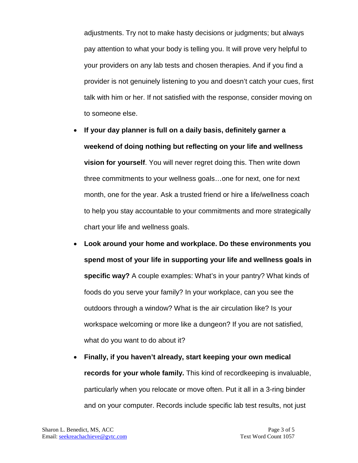adjustments. Try not to make hasty decisions or judgments; but always pay attention to what your body is telling you. It will prove very helpful to your providers on any lab tests and chosen therapies. And if you find a provider is not genuinely listening to you and doesn't catch your cues, first talk with him or her. If not satisfied with the response, consider moving on to someone else.

- **If your day planner is full on a daily basis, definitely garner a weekend of doing nothing but reflecting on your life and wellness vision for yourself**. You will never regret doing this. Then write down three commitments to your wellness goals…one for next, one for next month, one for the year. Ask a trusted friend or hire a life/wellness coach to help you stay accountable to your commitments and more strategically chart your life and wellness goals.
- **Look around your home and workplace. Do these environments you spend most of your life in supporting your life and wellness goals in specific way?** A couple examples: What's in your pantry? What kinds of foods do you serve your family? In your workplace, can you see the outdoors through a window? What is the air circulation like? Is your workspace welcoming or more like a dungeon? If you are not satisfied, what do you want to do about it?
- **Finally, if you haven't already, start keeping your own medical records for your whole family.** This kind of recordkeeping is invaluable, particularly when you relocate or move often. Put it all in a 3-ring binder and on your computer. Records include specific lab test results, not just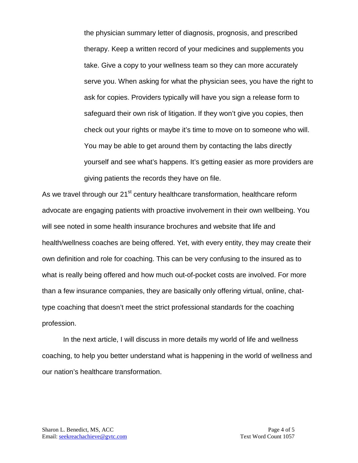the physician summary letter of diagnosis, prognosis, and prescribed therapy. Keep a written record of your medicines and supplements you take. Give a copy to your wellness team so they can more accurately serve you. When asking for what the physician sees, you have the right to ask for copies. Providers typically will have you sign a release form to safeguard their own risk of litigation. If they won't give you copies, then check out your rights or maybe it's time to move on to someone who will. You may be able to get around them by contacting the labs directly yourself and see what's happens. It's getting easier as more providers are giving patients the records they have on file.

As we travel through our 21<sup>st</sup> century healthcare transformation, healthcare reform advocate are engaging patients with proactive involvement in their own wellbeing. You will see noted in some health insurance brochures and website that life and health/wellness coaches are being offered. Yet, with every entity, they may create their own definition and role for coaching. This can be very confusing to the insured as to what is really being offered and how much out-of-pocket costs are involved. For more than a few insurance companies, they are basically only offering virtual, online, chattype coaching that doesn't meet the strict professional standards for the coaching profession.

In the next article, I will discuss in more details my world of life and wellness coaching, to help you better understand what is happening in the world of wellness and our nation's healthcare transformation.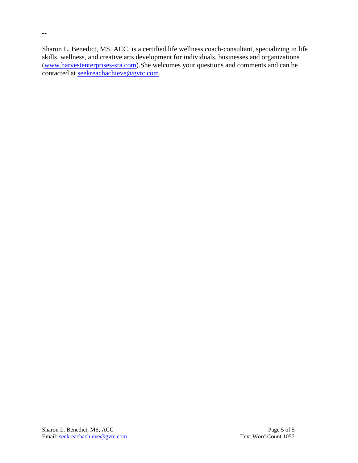Sharon L. Benedict, MS, ACC, is a certified life wellness coach-consultant, specializing in life skills, wellness, and creative arts development for individuals, businesses and organizations [\(www.harvestenterprises-sra.com\)](http://www.harvestenterprises-sra.com/).She welcomes your questions and comments and can be contacted at <u>seekreachachieve@gvtc.com</u>.

--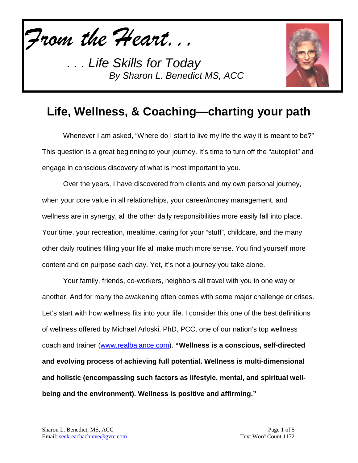*From the Heart...*

*. . . Life Skills for Today By Sharon L. Benedict MS, ACC*



## **Life, Wellness, & Coaching—charting your path**

Whenever I am asked, "Where do I start to live my life the way it is meant to be?" This question is a great beginning to your journey. It's time to turn off the "autopilot" and engage in conscious discovery of what is most important to you.

Over the years, I have discovered from clients and my own personal journey, when your core value in all relationships, your career/money management, and wellness are in synergy, all the other daily responsibilities more easily fall into place. Your time, your recreation, mealtime, caring for your "stuff", childcare, and the many other daily routines filling your life all make much more sense. You find yourself more content and on purpose each day. Yet, it's not a journey you take alone.

Your family, friends, co-workers, neighbors all travel with you in one way or another. And for many the awakening often comes with some major challenge or crises. Let's start with how wellness fits into your life. I consider this one of the best definitions of wellness offered by Michael Arloski, PhD, PCC, one of our nation's top wellness coach and trainer [\(www.realbalance.com\)](http://www.realbalance.com/). **"Wellness is a conscious, self-directed and evolving process of achieving full potential. Wellness is multi-dimensional and holistic (encompassing such factors as lifestyle, mental, and spiritual wellbeing and the environment). Wellness is positive and affirming."**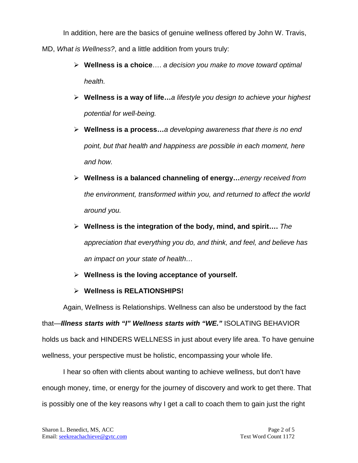In addition, here are the basics of genuine wellness offered by John W. Travis, MD, *What is Wellness?*, and a little addition from yours truly:

- **Wellness is a choice**…. *a decision you make to move toward optimal health.*
- **Wellness is a way of life…***a lifestyle you design to achieve your highest potential for well-being.*
- **Wellness is a process…***a developing awareness that there is no end point, but that health and happiness are possible in each moment, here and how.*
- **Wellness is a balanced channeling of energy…***energy received from the environment, transformed within you, and returned to affect the world around you.*
- **Wellness is the integration of the body, mind, and spirit….** *The appreciation that everything you do, and think, and feel, and believe has an impact on your state of health…*
- **Wellness is the loving acceptance of yourself.**
- **Wellness is RELATIONSHIPS!**

Again, Wellness is Relationships. Wellness can also be understood by the fact

that—*Illness starts with "I" Wellness starts with "WE."* ISOLATING BEHAVIOR holds us back and HINDERS WELLNESS in just about every life area. To have genuine wellness, your perspective must be holistic, encompassing your whole life.

I hear so often with clients about wanting to achieve wellness, but don't have enough money, time, or energy for the journey of discovery and work to get there. That is possibly one of the key reasons why I get a call to coach them to gain just the right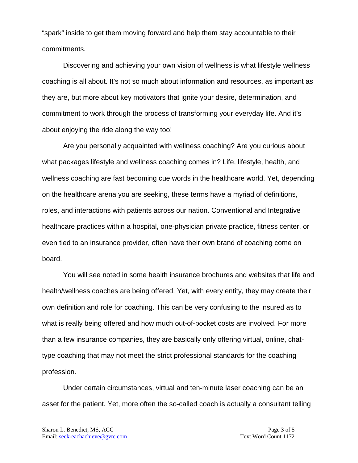"spark" inside to get them moving forward and help them stay accountable to their commitments.

Discovering and achieving your own vision of wellness is what lifestyle wellness coaching is all about. It's not so much about information and resources, as important as they are, but more about key motivators that ignite your desire, determination, and commitment to work through the process of transforming your everyday life. And it's about enjoying the ride along the way too!

Are you personally acquainted with wellness coaching? Are you curious about what packages lifestyle and wellness coaching comes in? Life, lifestyle, health, and wellness coaching are fast becoming cue words in the healthcare world. Yet, depending on the healthcare arena you are seeking, these terms have a myriad of definitions, roles, and interactions with patients across our nation. Conventional and Integrative healthcare practices within a hospital, one-physician private practice, fitness center, or even tied to an insurance provider, often have their own brand of coaching come on board.

You will see noted in some health insurance brochures and websites that life and health/wellness coaches are being offered. Yet, with every entity, they may create their own definition and role for coaching. This can be very confusing to the insured as to what is really being offered and how much out-of-pocket costs are involved. For more than a few insurance companies, they are basically only offering virtual, online, chattype coaching that may not meet the strict professional standards for the coaching profession.

Under certain circumstances, virtual and ten-minute laser coaching can be an asset for the patient. Yet, more often the so-called coach is actually a consultant telling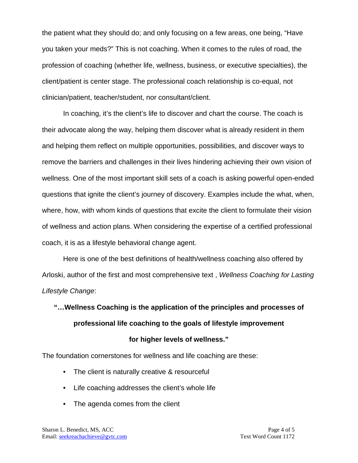the patient what they should do; and only focusing on a few areas, one being, "Have you taken your meds?" This is not coaching. When it comes to the rules of road, the profession of coaching (whether life, wellness, business, or executive specialties), the client/patient is center stage. The professional coach relationship is co-equal, not clinician/patient, teacher/student, nor consultant/client.

In coaching, it's the client's life to discover and chart the course. The coach is their advocate along the way, helping them discover what is already resident in them and helping them reflect on multiple opportunities, possibilities, and discover ways to remove the barriers and challenges in their lives hindering achieving their own vision of wellness. One of the most important skill sets of a coach is asking powerful open-ended questions that ignite the client's journey of discovery. Examples include the what, when, where, how, with whom kinds of questions that excite the client to formulate their vision of wellness and action plans. When considering the expertise of a certified professional coach, it is as a lifestyle behavioral change agent.

Here is one of the best definitions of health/wellness coaching also offered by Arloski, author of the first and most comprehensive text , *Wellness Coaching for Lasting Lifestyle Change*:

# **"…Wellness Coaching is the application of the principles and processes of professional life coaching to the goals of lifestyle improvement for higher levels of wellness."**

The foundation cornerstones for wellness and life coaching are these:

- The client is naturally creative & resourceful
- Life coaching addresses the client's whole life
- The agenda comes from the client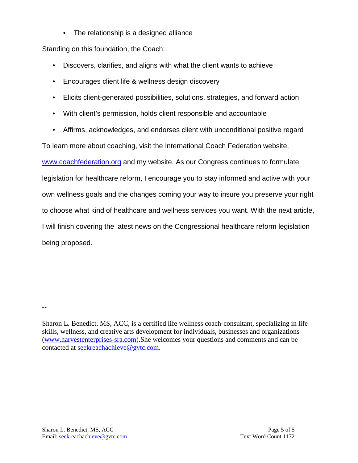• The relationship is a designed alliance

Standing on this foundation, the Coach:

- Discovers, clarifies, and aligns with what the client wants to achieve
- Encourages client life & wellness design discovery
- Elicits client-generated possibilities, solutions, strategies, and forward action
- With client's permission, holds client responsible and accountable
- Affirms, acknowledges, and endorses client with unconditional positive regard

To learn more about coaching, visit the International Coach Federation website,

[www.coachfederation.org](http://www.coachfederation.org/) and my website. As our Congress continues to formulate legislation for healthcare reform, I encourage you to stay informed and active with your own wellness goals and the changes coming your way to insure you preserve your right to choose what kind of healthcare and wellness services you want. With the next article, I will finish covering the latest news on the Congressional healthcare reform legislation being proposed.

--

Sharon L. Benedict, MS, ACC, is a certified life wellness coach-consultant, specializing in life skills, wellness, and creative arts development for individuals, businesses and organizations [\(www.harvestenterprises-sra.com\)](http://www.harvestenterprises-sra.com/).She welcomes your questions and comments and can be contacted at [seekreachachieve@gvtc.com.](mailto:seekreachachieve@gvtc.com)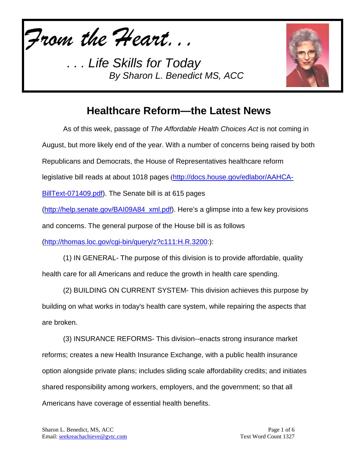*From the Heart...*

*. . . Life Skills for Today By Sharon L. Benedict MS, ACC*



#### **Healthcare Reform—the Latest News**

As of this week, passage of *The Affordable Health Choices Act* is not coming in August, but more likely end of the year. With a number of concerns being raised by both Republicans and Democrats, the House of Representatives healthcare reform legislative bill reads at about 1018 pages ([http://docs.house.gov/edlabor/AAHCA-](http://docs.house.gov/edlabor/AAHCA-BillText-071409.pdf)[BillText-071409.pdf\)](http://docs.house.gov/edlabor/AAHCA-BillText-071409.pdf). The Senate bill is at 615 pages [\(http://help.senate.gov/BAI09A84\\_xml.pdf\)](http://help.senate.gov/BAI09A84_xml.pdf). Here's a glimpse into a few key provisions and concerns. The general purpose of the House bill is as follows [\(http://thomas.loc.gov/cgi-bin/query/z?c111:H.R.3200:](http://thomas.loc.gov/cgi-bin/query/z?c111:H.R.3200)): (1) IN GENERAL- The purpose of this division is to provide affordable, quality health care for all Americans and reduce the growth in health care spending. (2) BUILDING ON CURRENT SYSTEM- This division achieves this purpose by building on what works in today's health care system, while repairing the aspects that

are broken.

(3) INSURANCE REFORMS- This division--enacts strong insurance market reforms; creates a new Health Insurance Exchange, with a public health insurance option alongside private plans; includes sliding scale affordability credits; and initiates shared responsibility among workers, employers, and the government; so that all Americans have coverage of essential health benefits.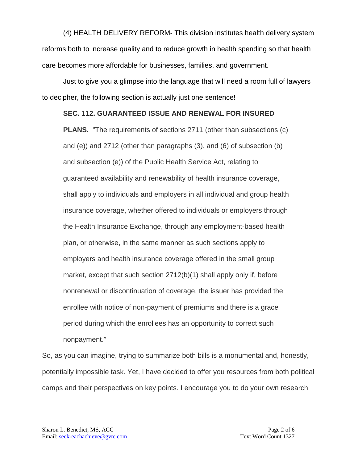(4) HEALTH DELIVERY REFORM- This division institutes health delivery system reforms both to increase quality and to reduce growth in health spending so that health care becomes more affordable for businesses, families, and government.

Just to give you a glimpse into the language that will need a room full of lawyers to decipher, the following section is actually just one sentence!

#### **SEC. 112. GUARANTEED ISSUE AND RENEWAL FOR INSURED**

**PLANS.** "The requirements of sections 2711 (other than subsections (c) and (e)) and 2712 (other than paragraphs (3), and (6) of subsection (b) and subsection (e)) of the Public Health Service Act, relating to guaranteed availability and renewability of health insurance coverage, shall apply to individuals and employers in all individual and group health insurance coverage, whether offered to individuals or employers through the Health Insurance Exchange, through any employment-based health plan, or otherwise, in the same manner as such sections apply to employers and health insurance coverage offered in the small group market, except that such section 2712(b)(1) shall apply only if, before nonrenewal or discontinuation of coverage, the issuer has provided the enrollee with notice of non-payment of premiums and there is a grace period during which the enrollees has an opportunity to correct such nonpayment."

So, as you can imagine, trying to summarize both bills is a monumental and, honestly, potentially impossible task. Yet, I have decided to offer you resources from both political camps and their perspectives on key points. I encourage you to do your own research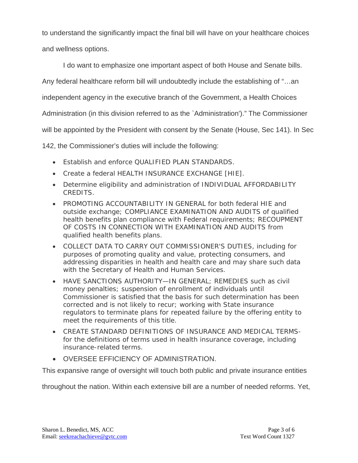to understand the significantly impact the final bill will have on your healthcare choices and wellness options.

I do want to emphasize one important aspect of both House and Senate bills.

Any federal healthcare reform bill will undoubtedly include the establishing of "…an

independent agency in the executive branch of the Government, a Health Choices

Administration (in this division referred to as the `Administration')." The Commissioner

will be appointed by the President with consent by the Senate (House, Sec 141). In Sec

142, the Commissioner's duties will include the following:

- Establish and enforce OUALIFIED PLAN STANDARDS.
- Create a federal HEALTH INSURANCE EXCHANGE [HIE].
- Determine eligibility and administration of INDIVIDUAL AFFORDABILITY CREDITS.
- PROMOTING ACCOUNTABILITY IN GENERAL for both federal HIF and outside exchange; COMPLIANCE EXAMINATION AND AUDITS of qualified health benefits plan compliance with Federal requirements; RECOUPMENT OF COSTS IN CONNECTION WITH EXAMINATION AND AUDITS from qualified health benefits plans.
- COLLECT DATA TO CARRY OUT COMMISSIONER'S DUTIES, including for purposes of promoting quality and value, protecting consumers, and addressing disparities in health and health care and may share such data with the Secretary of Health and Human Services.
- HAVE SANCTIONS AUTHORITY—IN GENERAL; REMEDIES such as civil money penalties; suspension of enrollment of individuals until Commissioner is satisfied that the basis for such determination has been corrected and is not likely to recur; working with State insurance regulators to terminate plans for repeated failure by the offering entity to meet the requirements of this title.
- CREATE STANDARD DEFINITIONS OF INSURANCE AND MEDICAL TERMSfor the definitions of terms used in health insurance coverage, including insurance-related terms.
- OVERSEE EFFICIENCY OF ADMINISTRATION.

This expansive range of oversight will touch both public and private insurance entities

throughout the nation. Within each extensive bill are a number of needed reforms. Yet,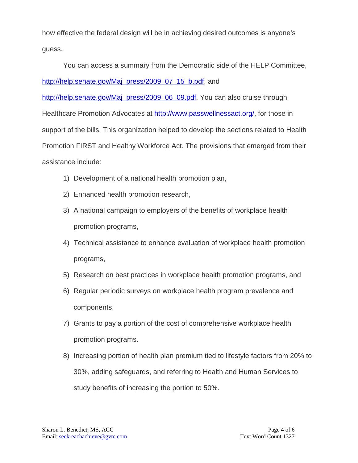how effective the federal design will be in achieving desired outcomes is anyone's guess.

You can access a summary from the Democratic side of the HELP Committee, [http://help.senate.gov/Maj\\_press/2009\\_07\\_15\\_b.pdf,](http://help.senate.gov/Maj_press/2009_07_15_b.pdf) and [http://help.senate.gov/Maj\\_press/2009\\_06\\_09.pdf.](http://help.senate.gov/Maj_press/2009_06_09.pdf) You can also cruise through Healthcare Promotion Advocates at [http://www.passwellnessact.org/,](http://www.passwellnessact.org/) for those in support of the bills. This organization helped to develop the sections related to Health

Promotion FIRST and Healthy Workforce Act. The provisions that emerged from their assistance include:

- 1) Development of a national health promotion plan,
- 2) Enhanced health promotion research,
- 3) A national campaign to employers of the benefits of workplace health promotion programs,
- 4) Technical assistance to enhance evaluation of workplace health promotion programs,
- 5) Research on best practices in workplace health promotion programs, and
- 6) Regular periodic surveys on workplace health program prevalence and components.
- 7) Grants to pay a portion of the cost of comprehensive workplace health promotion programs.
- 8) Increasing portion of health plan premium tied to lifestyle factors from 20% to 30%, adding safeguards, and referring to Health and Human Services to study benefits of increasing the portion to 50%.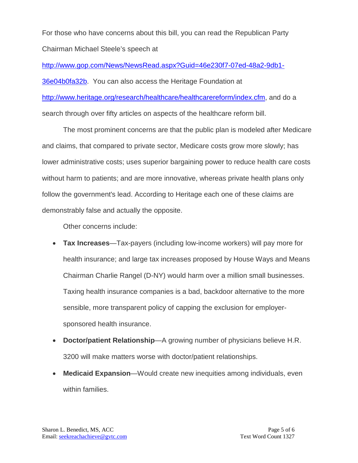For those who have concerns about this bill, you can read the Republican Party Chairman Michael Steele's speech at

[http://www.gop.com/News/NewsRead.aspx?Guid=46e230f7-07ed-48a2-9db1-](http://www.gop.com/News/NewsRead.aspx?Guid=46e230f7-07ed-48a2-9db1-36e04b0fa32b) [36e04b0fa32b.](http://www.gop.com/News/NewsRead.aspx?Guid=46e230f7-07ed-48a2-9db1-36e04b0fa32b) You can also access the Heritage Foundation at [http://www.heritage.org/research/healthcare/healthcarereform/index.cfm,](http://www.heritage.org/research/healthcare/healthcarereform/index.cfm) and do a search through over fifty articles on aspects of the healthcare reform bill.

The most prominent concerns are that the public plan is modeled after Medicare and claims, that compared to private sector, Medicare costs grow more slowly; has lower administrative costs; uses superior bargaining power to reduce health care costs without harm to patients; and are more innovative, whereas private health plans only follow the government's lead. According to Heritage each one of these claims are demonstrably false and actually the opposite.

Other concerns include:

- **Tax Increases**—Tax-payers (including low-income workers) will pay more for health insurance; and large tax increases proposed by House Ways and Means Chairman Charlie Rangel (D-NY) would harm over a million small businesses. Taxing health insurance companies is a bad, backdoor alternative to the more sensible, more transparent policy of capping the exclusion for employersponsored health insurance.
- **Doctor/patient Relationship**—A growing number of physicians believe H.R. 3200 will make matters worse with doctor/patient relationships.
- **Medicaid Expansion**—Would create new inequities among individuals, even within families.